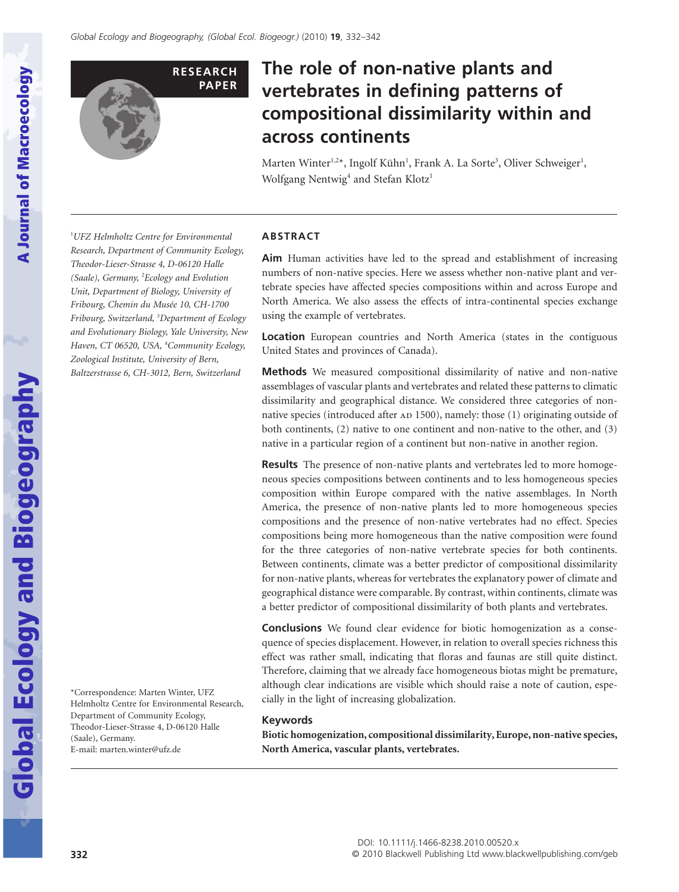

# **The role of non-native plants and vertebrates in defining patterns of compositional dissimilarity within and** across continents

Marten Winter<sup>1,2\*</sup>, Ingolf Kühn<sup>1</sup>, Frank A. La Sorte<sup>3</sup>, Oliver Schweiger<sup>1</sup>, Wolfgang Nentwig<sup>4</sup> and Stefan Klotz<sup>1</sup>

1 *UFZ Helmholtz Centre for Environmental Research, Department of Community Ecology, Theodor-Lieser-Strasse 4, D-06120 Halle (Saale), Germany,* <sup>2</sup> *Ecology and Evolution Unit, Department of Biology, University of Fribourg, Chemin du Musée 10, CH-1700 Fribourg, Switzerland,* <sup>3</sup> *Department of Ecology and Evolutionary Biology, Yale University, New Haven, CT 06520, USA,* <sup>4</sup> *Community Ecology, Zoological Institute, University of Bern, Baltzerstrasse 6, CH-3012, Bern, Switzerland*

#### **ABSTRACT**

**Aim** Human activities have led to the spread and establishment of increasing numbers of non-native species. Here we assess whether non-native plant and vertebrate species have affected species compositions within and across Europe and North America. We also assess the effects of intra-continental species exchange using the example of vertebrates.

**Location** European countries and North America (states in the contiguous United States and provinces of Canada).

**Methods** We measured compositional dissimilarity of native and non-native assemblages of vascular plants and vertebrates and related these patterns to climatic dissimilarity and geographical distance. We considered three categories of nonnative species (introduced after  $AD 1500$ ), namely: those (1) originating outside of both continents, (2) native to one continent and non-native to the other, and (3) native in a particular region of a continent but non-native in another region.

**Results** The presence of non-native plants and vertebrates led to more homogeneous species compositions between continents and to less homogeneous species composition within Europe compared with the native assemblages. In North America, the presence of non-native plants led to more homogeneous species compositions and the presence of non-native vertebrates had no effect. Species compositions being more homogeneous than the native composition were found for the three categories of non-native vertebrate species for both continents. Between continents, climate was a better predictor of compositional dissimilarity for non-native plants, whereas for vertebrates the explanatory power of climate and geographical distance were comparable. By contrast, within continents, climate was a better predictor of compositional dissimilarity of both plants and vertebrates.

**Conclusions** We found clear evidence for biotic homogenization as a consequence of species displacement. However, in relation to overall species richness this effect was rather small, indicating that floras and faunas are still quite distinct. Therefore, claiming that we already face homogeneous biotas might be premature, although clear indications are visible which should raise a note of caution, especially in the light of increasing globalization.

#### **Keywords**

**Biotic homogenization, compositional dissimilarity, Europe, non-native species, North America, vascular plants, vertebrates.**

\*Correspondence: Marten Winter, UFZ Helmholtz Centre for Environmental Research, Department of Community Ecology, Theodor-Lieser-Strasse 4, D-06120 Halle (Saale), Germany. E-mail: marten.winter@ufz.de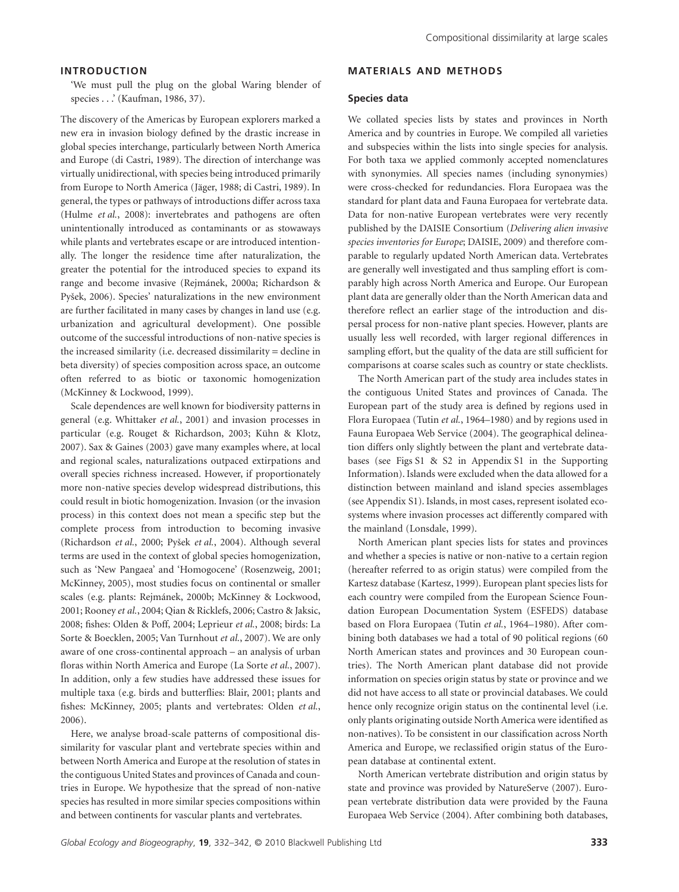## **INTRODUCTION**

'We must pull the plug on the global Waring blender of species . . .' (Kaufman, 1986, 37).

The discovery of the Americas by European explorers marked a new era in invasion biology defined by the drastic increase in global species interchange, particularly between North America and Europe (di Castri, 1989). The direction of interchange was virtually unidirectional, with species being introduced primarily from Europe to North America (Jäger, 1988; di Castri, 1989). In general, the types or pathways of introductions differ across taxa (Hulme *et al.*, 2008): invertebrates and pathogens are often unintentionally introduced as contaminants or as stowaways while plants and vertebrates escape or are introduced intentionally. The longer the residence time after naturalization, the greater the potential for the introduced species to expand its range and become invasive (Rejmánek, 2000a; Richardson & Pyšek, 2006). Species' naturalizations in the new environment are further facilitated in many cases by changes in land use (e.g. urbanization and agricultural development). One possible outcome of the successful introductions of non-native species is the increased similarity (i.e. decreased dissimilarity = decline in beta diversity) of species composition across space, an outcome often referred to as biotic or taxonomic homogenization (McKinney & Lockwood, 1999).

Scale dependences are well known for biodiversity patterns in general (e.g. Whittaker *et al.*, 2001) and invasion processes in particular (e.g. Rouget & Richardson, 2003; Kühn & Klotz, 2007). Sax & Gaines (2003) gave many examples where, at local and regional scales, naturalizations outpaced extirpations and overall species richness increased. However, if proportionately more non-native species develop widespread distributions, this could result in biotic homogenization. Invasion (or the invasion process) in this context does not mean a specific step but the complete process from introduction to becoming invasive (Richardson *et al.*, 2000; Pyšek *et al.*, 2004). Although several terms are used in the context of global species homogenization, such as 'New Pangaea' and 'Homogocene' (Rosenzweig, 2001; McKinney, 2005), most studies focus on continental or smaller scales (e.g. plants: Rejmánek, 2000b; McKinney & Lockwood, 2001; Rooney *et al.*, 2004; Qian & Ricklefs, 2006; Castro & Jaksic, 2008; fishes: Olden & Poff, 2004; Leprieur *et al.*, 2008; birds: La Sorte & Boecklen, 2005; Van Turnhout *et al.*, 2007). We are only aware of one cross-continental approach – an analysis of urban floras within North America and Europe (La Sorte *et al.*, 2007). In addition, only a few studies have addressed these issues for multiple taxa (e.g. birds and butterflies: Blair, 2001; plants and fishes: McKinney, 2005; plants and vertebrates: Olden *et al.*, 2006).

Here, we analyse broad-scale patterns of compositional dissimilarity for vascular plant and vertebrate species within and between North America and Europe at the resolution of states in the contiguous United States and provinces of Canada and countries in Europe. We hypothesize that the spread of non-native species has resulted in more similar species compositions within and between continents for vascular plants and vertebrates.

#### **MATERIALS AND METHODS**

#### **Species data**

We collated species lists by states and provinces in North America and by countries in Europe. We compiled all varieties and subspecies within the lists into single species for analysis. For both taxa we applied commonly accepted nomenclatures with synonymies. All species names (including synonymies) were cross-checked for redundancies. Flora Europaea was the standard for plant data and Fauna Europaea for vertebrate data. Data for non-native European vertebrates were very recently published by the DAISIE Consortium (*Delivering alien invasive species inventories for Europe*; DAISIE, 2009) and therefore comparable to regularly updated North American data. Vertebrates are generally well investigated and thus sampling effort is comparably high across North America and Europe. Our European plant data are generally older than the North American data and therefore reflect an earlier stage of the introduction and dispersal process for non-native plant species. However, plants are usually less well recorded, with larger regional differences in sampling effort, but the quality of the data are still sufficient for comparisons at coarse scales such as country or state checklists.

The North American part of the study area includes states in the contiguous United States and provinces of Canada. The European part of the study area is defined by regions used in Flora Europaea (Tutin *et al.*, 1964–1980) and by regions used in Fauna Europaea Web Service (2004). The geographical delineation differs only slightly between the plant and vertebrate databases (see Figs S1 & S2 in Appendix S1 in the Supporting Information). Islands were excluded when the data allowed for a distinction between mainland and island species assemblages (see Appendix S1). Islands, in most cases, represent isolated ecosystems where invasion processes act differently compared with the mainland (Lonsdale, 1999).

North American plant species lists for states and provinces and whether a species is native or non-native to a certain region (hereafter referred to as origin status) were compiled from the Kartesz database (Kartesz, 1999). European plant species lists for each country were compiled from the European Science Foundation European Documentation System (ESFEDS) database based on Flora Europaea (Tutin *et al.*, 1964–1980). After combining both databases we had a total of 90 political regions (60 North American states and provinces and 30 European countries). The North American plant database did not provide information on species origin status by state or province and we did not have access to all state or provincial databases. We could hence only recognize origin status on the continental level (i.e. only plants originating outside North America were identified as non-natives). To be consistent in our classification across North America and Europe, we reclassified origin status of the European database at continental extent.

North American vertebrate distribution and origin status by state and province was provided by NatureServe (2007). European vertebrate distribution data were provided by the Fauna Europaea Web Service (2004). After combining both databases,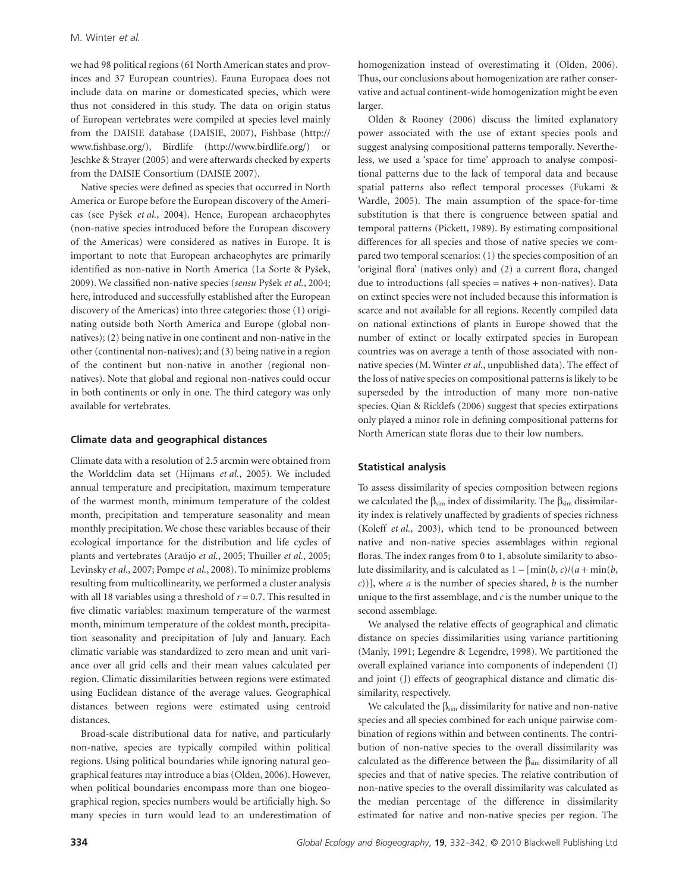we had 98 political regions (61 North American states and provinces and 37 European countries). Fauna Europaea does not include data on marine or domesticated species, which were thus not considered in this study. The data on origin status of European vertebrates were compiled at species level mainly from the DAISIE database (DAISIE, 2007), Fishbase (http:// www.fishbase.org/), Birdlife (http://www.birdlife.org/) or Jeschke & Strayer (2005) and were afterwards checked by experts from the DAISIE Consortium (DAISIE 2007).

Native species were defined as species that occurred in North America or Europe before the European discovery of the Americas (see Pyšek *et al.*, 2004). Hence, European archaeophytes (non-native species introduced before the European discovery of the Americas) were considered as natives in Europe. It is important to note that European archaeophytes are primarily identified as non-native in North America (La Sorte & Pyšek, 2009). We classified non-native species (*sensu* Pyšek *et al.*, 2004; here, introduced and successfully established after the European discovery of the Americas) into three categories: those (1) originating outside both North America and Europe (global nonnatives); (2) being native in one continent and non-native in the other (continental non-natives); and (3) being native in a region of the continent but non-native in another (regional nonnatives). Note that global and regional non-natives could occur in both continents or only in one. The third category was only available for vertebrates.

## **Climate data and geographical distances**

Climate data with a resolution of 2.5 arcmin were obtained from the Worldclim data set (Hijmans *et al.*, 2005). We included annual temperature and precipitation, maximum temperature of the warmest month, minimum temperature of the coldest month, precipitation and temperature seasonality and mean monthly precipitation. We chose these variables because of their ecological importance for the distribution and life cycles of plants and vertebrates (Araújo *et al.*, 2005; Thuiller *et al.*, 2005; Levinsky *et al.*, 2007; Pompe *et al.*, 2008). To minimize problems resulting from multicollinearity, we performed a cluster analysis with all 18 variables using a threshold of *r* = 0.7. This resulted in five climatic variables: maximum temperature of the warmest month, minimum temperature of the coldest month, precipitation seasonality and precipitation of July and January. Each climatic variable was standardized to zero mean and unit variance over all grid cells and their mean values calculated per region. Climatic dissimilarities between regions were estimated using Euclidean distance of the average values. Geographical distances between regions were estimated using centroid distances.

Broad-scale distributional data for native, and particularly non-native, species are typically compiled within political regions. Using political boundaries while ignoring natural geographical features may introduce a bias (Olden, 2006). However, when political boundaries encompass more than one biogeographical region, species numbers would be artificially high. So many species in turn would lead to an underestimation of homogenization instead of overestimating it (Olden, 2006). Thus, our conclusions about homogenization are rather conservative and actual continent-wide homogenization might be even larger.

Olden & Rooney (2006) discuss the limited explanatory power associated with the use of extant species pools and suggest analysing compositional patterns temporally. Nevertheless, we used a 'space for time' approach to analyse compositional patterns due to the lack of temporal data and because spatial patterns also reflect temporal processes (Fukami & Wardle, 2005). The main assumption of the space-for-time substitution is that there is congruence between spatial and temporal patterns (Pickett, 1989). By estimating compositional differences for all species and those of native species we compared two temporal scenarios: (1) the species composition of an 'original flora' (natives only) and (2) a current flora, changed due to introductions (all species  $=$  natives  $+$  non-natives). Data on extinct species were not included because this information is scarce and not available for all regions. Recently compiled data on national extinctions of plants in Europe showed that the number of extinct or locally extirpated species in European countries was on average a tenth of those associated with nonnative species (M. Winter *et al.*, unpublished data). The effect of the loss of native species on compositional patterns is likely to be superseded by the introduction of many more non-native species. Qian & Ricklefs (2006) suggest that species extirpations only played a minor role in defining compositional patterns for North American state floras due to their low numbers.

# **Statistical analysis**

To assess dissimilarity of species composition between regions we calculated the  $\beta_{sim}$  index of dissimilarity. The  $\beta_{sim}$  dissimilarity index is relatively unaffected by gradients of species richness (Koleff *et al.*, 2003), which tend to be pronounced between native and non-native species assemblages within regional floras. The index ranges from 0 to 1, absolute similarity to absolute dissimilarity, and is calculated as  $1 - [\min(b, c)/(a + \min(b, c)]$ *c*))], where *a* is the number of species shared, *b* is the number unique to the first assemblage, and *c* is the number unique to the second assemblage.

We analysed the relative effects of geographical and climatic distance on species dissimilarities using variance partitioning (Manly, 1991; Legendre & Legendre, 1998). We partitioned the overall explained variance into components of independent (I) and joint (J) effects of geographical distance and climatic dissimilarity, respectively.

We calculated the  $\beta_{sim}$  dissimilarity for native and non-native species and all species combined for each unique pairwise combination of regions within and between continents. The contribution of non-native species to the overall dissimilarity was calculated as the difference between the  $\beta_{sim}$  dissimilarity of all species and that of native species. The relative contribution of non-native species to the overall dissimilarity was calculated as the median percentage of the difference in dissimilarity estimated for native and non-native species per region. The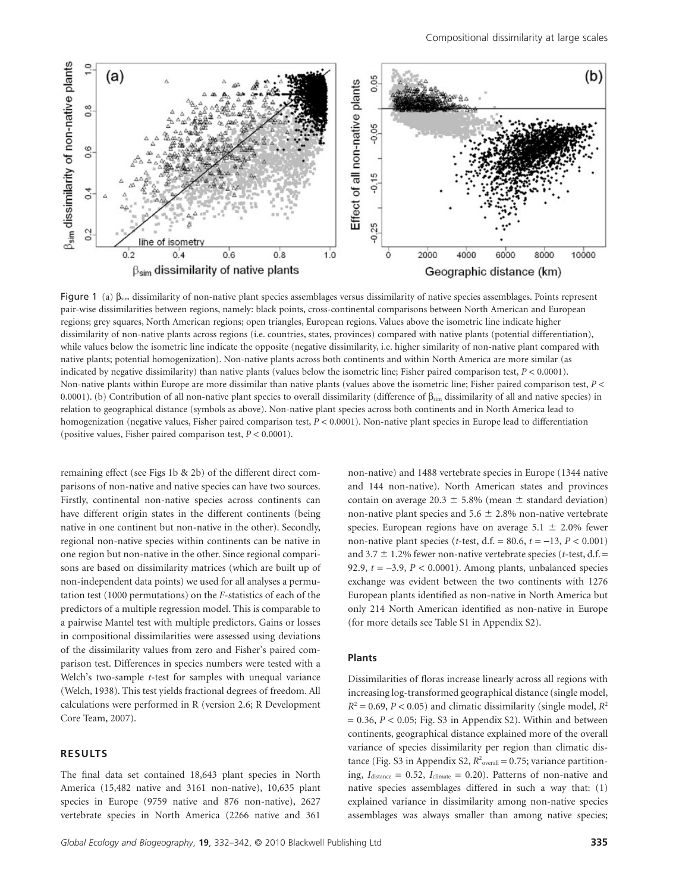

Figure 1 (a)  $\beta_{sim}$  dissimilarity of non-native plant species assemblages versus dissimilarity of native species assemblages. Points represent pair-wise dissimilarities between regions, namely: black points, cross-continental comparisons between North American and European regions; grey squares, North American regions; open triangles, European regions. Values above the isometric line indicate higher dissimilarity of non-native plants across regions (i.e. countries, states, provinces) compared with native plants (potential differentiation), while values below the isometric line indicate the opposite (negative dissimilarity, i.e. higher similarity of non-native plant compared with native plants; potential homogenization). Non-native plants across both continents and within North America are more similar (as indicated by negative dissimilarity) than native plants (values below the isometric line; Fisher paired comparison test,  $P < 0.0001$ ). Non-native plants within Europe are more dissimilar than native plants (values above the isometric line; Fisher paired comparison test, *P* < 0.0001). (b) Contribution of all non-native plant species to overall dissimilarity (difference of  $\beta_{sim}$  dissimilarity of all and native species) in relation to geographical distance (symbols as above). Non-native plant species across both continents and in North America lead to homogenization (negative values, Fisher paired comparison test, *P* < 0.0001). Non-native plant species in Europe lead to differentiation (positive values, Fisher paired comparison test, *P* < 0.0001).

remaining effect (see Figs 1b & 2b) of the different direct comparisons of non-native and native species can have two sources. Firstly, continental non-native species across continents can have different origin states in the different continents (being native in one continent but non-native in the other). Secondly, regional non-native species within continents can be native in one region but non-native in the other. Since regional comparisons are based on dissimilarity matrices (which are built up of non-independent data points) we used for all analyses a permutation test (1000 permutations) on the *F*-statistics of each of the predictors of a multiple regression model. This is comparable to a pairwise Mantel test with multiple predictors. Gains or losses in compositional dissimilarities were assessed using deviations of the dissimilarity values from zero and Fisher's paired comparison test. Differences in species numbers were tested with a Welch's two-sample *t*-test for samples with unequal variance (Welch, 1938). This test yields fractional degrees of freedom. All calculations were performed in R (version 2.6; R Development Core Team, 2007).

# **RESULTS**

The final data set contained 18,643 plant species in North America (15,482 native and 3161 non-native), 10,635 plant species in Europe (9759 native and 876 non-native), 2627 vertebrate species in North America (2266 native and 361

non-native) and 1488 vertebrate species in Europe (1344 native and 144 non-native). North American states and provinces contain on average 20.3  $\pm$  5.8% (mean  $\pm$  standard deviation) non-native plant species and  $5.6 \pm 2.8\%$  non-native vertebrate species. European regions have on average  $5.1 \pm 2.0\%$  fewer non-native plant species (*t*-test, d.f. = 80.6,  $t = -13$ ,  $P < 0.001$ ) and 3.7  $\pm$  1.2% fewer non-native vertebrate species (*t*-test, d.f. = 92.9, *t* = –3.9, *P* < 0.0001). Among plants, unbalanced species exchange was evident between the two continents with 1276 European plants identified as non-native in North America but only 214 North American identified as non-native in Europe (for more details see Table S1 in Appendix S2).

# **Plants**

Dissimilarities of floras increase linearly across all regions with increasing log-transformed geographical distance (single model,  $R^2 = 0.69$ ,  $P < 0.05$ ) and climatic dissimilarity (single model,  $R^2$ )  $= 0.36$ ,  $P < 0.05$ ; Fig. S3 in Appendix S2). Within and between continents, geographical distance explained more of the overall variance of species dissimilarity per region than climatic distance (Fig. S3 in Appendix S2,  $R^2$ <sub>overall</sub> = 0.75; variance partitioning,  $I_{distance} = 0.52$ ,  $I_{climate} = 0.20$ ). Patterns of non-native and native species assemblages differed in such a way that: (1) explained variance in dissimilarity among non-native species assemblages was always smaller than among native species;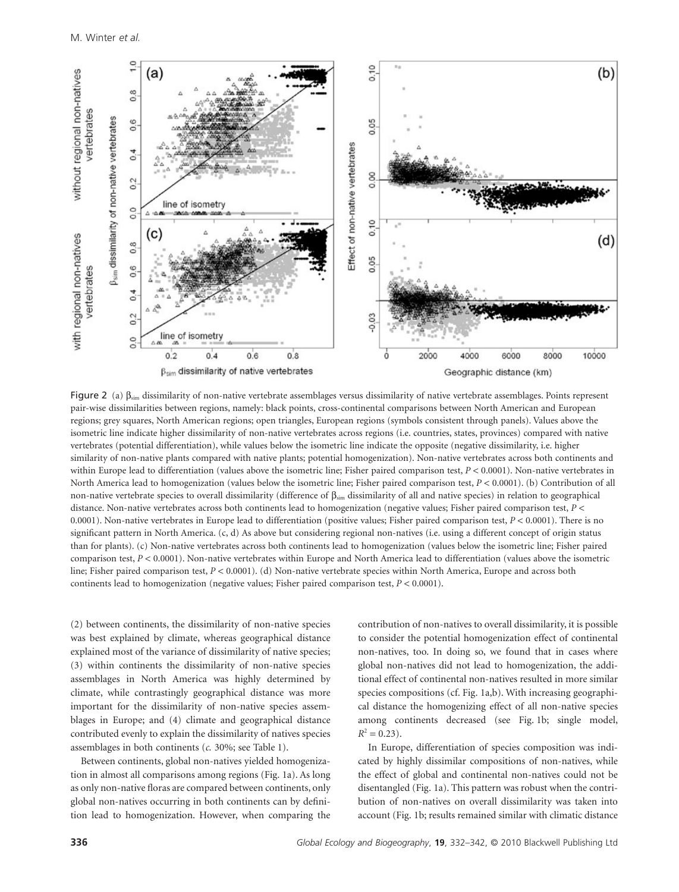

Figure 2 (a)  $\beta_{\text{sim}}$  dissimilarity of non-native vertebrate assemblages versus dissimilarity of native vertebrate assemblages. Points represent pair-wise dissimilarities between regions, namely: black points, cross-continental comparisons between North American and European regions; grey squares, North American regions; open triangles, European regions (symbols consistent through panels). Values above the isometric line indicate higher dissimilarity of non-native vertebrates across regions (i.e. countries, states, provinces) compared with native vertebrates (potential differentiation), while values below the isometric line indicate the opposite (negative dissimilarity, i.e. higher similarity of non-native plants compared with native plants; potential homogenization). Non-native vertebrates across both continents and within Europe lead to differentiation (values above the isometric line; Fisher paired comparison test,  $P < 0.0001$ ). Non-native vertebrates in North America lead to homogenization (values below the isometric line; Fisher paired comparison test, *P* < 0.0001). (b) Contribution of all non-native vertebrate species to overall dissimilarity (difference of  $\beta_{sim}$  dissimilarity of all and native species) in relation to geographical distance. Non-native vertebrates across both continents lead to homogenization (negative values; Fisher paired comparison test, *P* < 0.0001). Non-native vertebrates in Europe lead to differentiation (positive values; Fisher paired comparison test, *P* < 0.0001). There is no significant pattern in North America. (c, d) As above but considering regional non-natives (i.e. using a different concept of origin status than for plants). (c) Non-native vertebrates across both continents lead to homogenization (values below the isometric line; Fisher paired comparison test, *P* < 0.0001). Non-native vertebrates within Europe and North America lead to differentiation (values above the isometric line; Fisher paired comparison test, *P* < 0.0001). (d) Non-native vertebrate species within North America, Europe and across both continents lead to homogenization (negative values; Fisher paired comparison test, *P* < 0.0001).

(2) between continents, the dissimilarity of non-native species was best explained by climate, whereas geographical distance explained most of the variance of dissimilarity of native species; (3) within continents the dissimilarity of non-native species assemblages in North America was highly determined by climate, while contrastingly geographical distance was more important for the dissimilarity of non-native species assemblages in Europe; and (4) climate and geographical distance contributed evenly to explain the dissimilarity of natives species assemblages in both continents (*c.* 30%; see Table 1).

Between continents, global non-natives yielded homogenization in almost all comparisons among regions (Fig. 1a). As long as only non-native floras are compared between continents, only global non-natives occurring in both continents can by definition lead to homogenization. However, when comparing the contribution of non-natives to overall dissimilarity, it is possible to consider the potential homogenization effect of continental non-natives, too. In doing so, we found that in cases where global non-natives did not lead to homogenization, the additional effect of continental non-natives resulted in more similar species compositions (cf. Fig. 1a,b). With increasing geographical distance the homogenizing effect of all non-native species among continents decreased (see Fig. 1b; single model,  $R^2 = 0.23$ .

In Europe, differentiation of species composition was indicated by highly dissimilar compositions of non-natives, while the effect of global and continental non-natives could not be disentangled (Fig. 1a). This pattern was robust when the contribution of non-natives on overall dissimilarity was taken into account (Fig. 1b; results remained similar with climatic distance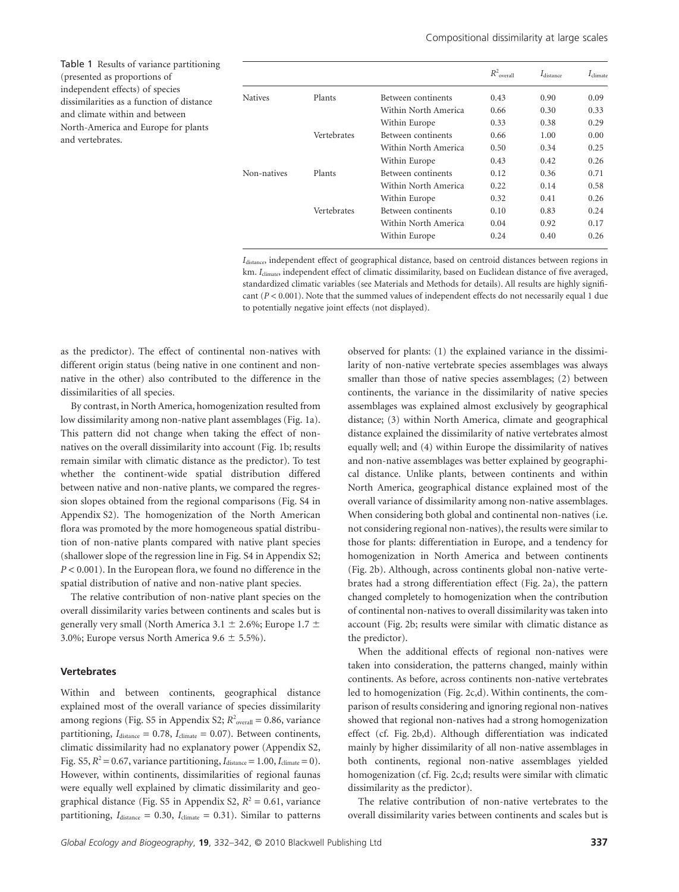Compositional dissimilarity at large scales

Table 1 Results of variance partitioning (presented as proportions of independent effects) of species dissimilarities as a function of distance and climate within and between North-America and Europe for plants and vertebrates.

|                |             |                      | $R^2$ <sub>overall</sub> | $I_{distance}$ | $I_{\text{climate}}$ |
|----------------|-------------|----------------------|--------------------------|----------------|----------------------|
| <b>Natives</b> | Plants      | Between continents   | 0.43                     | 0.90           | 0.09                 |
|                |             | Within North America | 0.66                     | 0.30           | 0.33                 |
|                |             | Within Europe        | 0.33                     | 0.38           | 0.29                 |
|                | Vertebrates | Between continents   | 0.66                     | 1.00           | 0.00                 |
|                |             | Within North America | 0.50                     | 0.34           | 0.25                 |
|                |             | Within Europe        | 0.43                     | 0.42           | 0.26                 |
| Non-natives    | Plants      | Between continents   | 0.12                     | 0.36           | 0.71                 |
|                |             | Within North America | 0.22                     | 0.14           | 0.58                 |
|                |             | Within Europe        | 0.32                     | 0.41           | 0.26                 |
|                | Vertebrates | Between continents   | 0.10                     | 0.83           | 0.24                 |
|                |             | Within North America | 0.04                     | 0.92           | 0.17                 |
|                |             | Within Europe        | 0.24                     | 0.40           | 0.26                 |

*I*distance, independent effect of geographical distance, based on centroid distances between regions in km. *I*<sub>climate</sub>, independent effect of climatic dissimilarity, based on Euclidean distance of five averaged, standardized climatic variables (see Materials and Methods for details). All results are highly significant ( $P < 0.001$ ). Note that the summed values of independent effects do not necessarily equal 1 due to potentially negative joint effects (not displayed).

as the predictor). The effect of continental non-natives with different origin status (being native in one continent and nonnative in the other) also contributed to the difference in the dissimilarities of all species.

By contrast, in North America, homogenization resulted from low dissimilarity among non-native plant assemblages (Fig. 1a). This pattern did not change when taking the effect of nonnatives on the overall dissimilarity into account (Fig. 1b; results remain similar with climatic distance as the predictor). To test whether the continent-wide spatial distribution differed between native and non-native plants, we compared the regression slopes obtained from the regional comparisons (Fig. S4 in Appendix S2). The homogenization of the North American flora was promoted by the more homogeneous spatial distribution of non-native plants compared with native plant species (shallower slope of the regression line in Fig. S4 in Appendix S2; *P* < 0.001). In the European flora, we found no difference in the spatial distribution of native and non-native plant species.

The relative contribution of non-native plant species on the overall dissimilarity varies between continents and scales but is generally very small (North America 3.1  $\pm$  2.6%; Europe 1.7  $\pm$ 3.0%; Europe versus North America 9.6  $\pm$  5.5%).

#### **Vertebrates**

Within and between continents, geographical distance explained most of the overall variance of species dissimilarity among regions (Fig. S5 in Appendix S2;  $R^2$ <sub>overall</sub> = 0.86, variance partitioning,  $I_{distance} = 0.78$ ,  $I_{climate} = 0.07$ ). Between continents, climatic dissimilarity had no explanatory power (Appendix S2, Fig. S5,  $R^2 = 0.67$ , variance partitioning,  $I_{distance} = 1.00$ ,  $I_{climate} = 0$ ). However, within continents, dissimilarities of regional faunas were equally well explained by climatic dissimilarity and geographical distance (Fig. S5 in Appendix S2,  $R^2 = 0.61$ , variance partitioning,  $I_{distance} = 0.30$ ,  $I_{climate} = 0.31$ ). Similar to patterns observed for plants: (1) the explained variance in the dissimilarity of non-native vertebrate species assemblages was always smaller than those of native species assemblages; (2) between continents, the variance in the dissimilarity of native species assemblages was explained almost exclusively by geographical distance; (3) within North America, climate and geographical distance explained the dissimilarity of native vertebrates almost equally well; and (4) within Europe the dissimilarity of natives and non-native assemblages was better explained by geographical distance. Unlike plants, between continents and within North America, geographical distance explained most of the overall variance of dissimilarity among non-native assemblages. When considering both global and continental non-natives (i.e. not considering regional non-natives), the results were similar to those for plants: differentiation in Europe, and a tendency for homogenization in North America and between continents (Fig. 2b). Although, across continents global non-native vertebrates had a strong differentiation effect (Fig. 2a), the pattern changed completely to homogenization when the contribution of continental non-natives to overall dissimilarity was taken into account (Fig. 2b; results were similar with climatic distance as the predictor).

When the additional effects of regional non-natives were taken into consideration, the patterns changed, mainly within continents. As before, across continents non-native vertebrates led to homogenization (Fig. 2c,d). Within continents, the comparison of results considering and ignoring regional non-natives showed that regional non-natives had a strong homogenization effect (cf. Fig. 2b,d). Although differentiation was indicated mainly by higher dissimilarity of all non-native assemblages in both continents, regional non-native assemblages yielded homogenization (cf. Fig. 2c,d; results were similar with climatic dissimilarity as the predictor).

The relative contribution of non-native vertebrates to the overall dissimilarity varies between continents and scales but is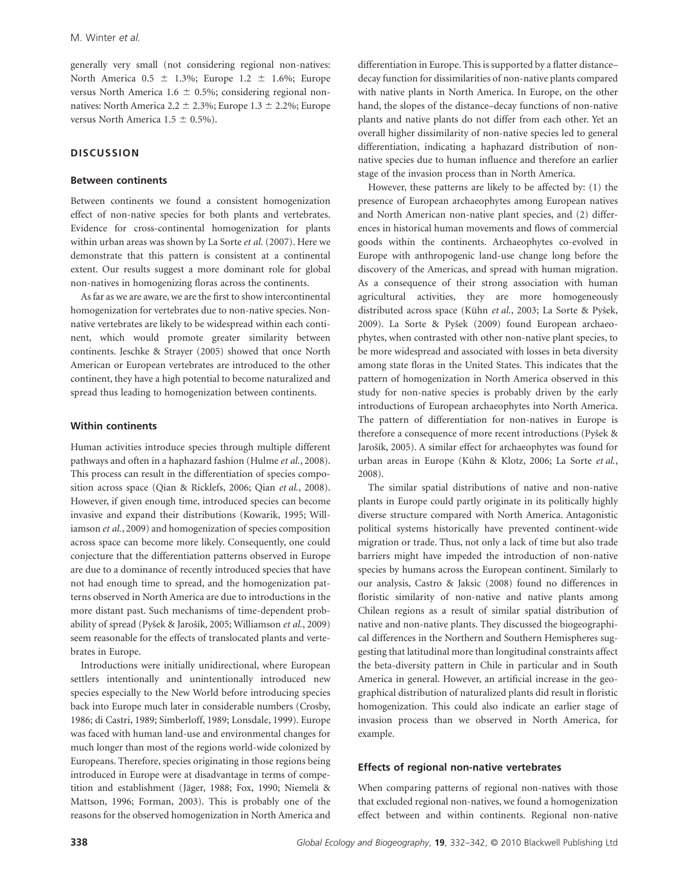generally very small (not considering regional non-natives: North America  $0.5 \pm 1.3\%$ ; Europe  $1.2 \pm 1.6\%$ ; Europe versus North America  $1.6 \pm 0.5$ %; considering regional nonnatives: North America 2.2  $\pm$  2.3%; Europe 1.3  $\pm$  2.2%; Europe versus North America  $1.5 \pm 0.5\%$ ).

## **DISCUSSION**

#### **Between continents**

Between continents we found a consistent homogenization effect of non-native species for both plants and vertebrates. Evidence for cross-continental homogenization for plants within urban areas was shown by La Sorte *et al.* (2007). Here we demonstrate that this pattern is consistent at a continental extent. Our results suggest a more dominant role for global non-natives in homogenizing floras across the continents.

As far as we are aware, we are the first to show intercontinental homogenization for vertebrates due to non-native species. Nonnative vertebrates are likely to be widespread within each continent, which would promote greater similarity between continents. Jeschke & Strayer (2005) showed that once North American or European vertebrates are introduced to the other continent, they have a high potential to become naturalized and spread thus leading to homogenization between continents.

#### **Within continents**

Human activities introduce species through multiple different pathways and often in a haphazard fashion (Hulme *et al.*, 2008). This process can result in the differentiation of species composition across space (Qian & Ricklefs, 2006; Qian *et al.*, 2008). However, if given enough time, introduced species can become invasive and expand their distributions (Kowarik, 1995; Williamson *et al.*, 2009) and homogenization of species composition across space can become more likely. Consequently, one could conjecture that the differentiation patterns observed in Europe are due to a dominance of recently introduced species that have not had enough time to spread, and the homogenization patterns observed in North America are due to introductions in the more distant past. Such mechanisms of time-dependent probability of spread (Pyšek & Jarošík, 2005; Williamson *et al.*, 2009) seem reasonable for the effects of translocated plants and vertebrates in Europe.

Introductions were initially unidirectional, where European settlers intentionally and unintentionally introduced new species especially to the New World before introducing species back into Europe much later in considerable numbers (Crosby, 1986; di Castri, 1989; Simberloff, 1989; Lonsdale, 1999). Europe was faced with human land-use and environmental changes for much longer than most of the regions world-wide colonized by Europeans. Therefore, species originating in those regions being introduced in Europe were at disadvantage in terms of competition and establishment (Jäger, 1988; Fox, 1990; Niemelä & Mattson, 1996; Forman, 2003). This is probably one of the reasons for the observed homogenization in North America and differentiation in Europe. This is supported by a flatter distance– decay function for dissimilarities of non-native plants compared with native plants in North America. In Europe, on the other hand, the slopes of the distance–decay functions of non-native plants and native plants do not differ from each other. Yet an overall higher dissimilarity of non-native species led to general differentiation, indicating a haphazard distribution of nonnative species due to human influence and therefore an earlier stage of the invasion process than in North America.

However, these patterns are likely to be affected by: (1) the presence of European archaeophytes among European natives and North American non-native plant species, and (2) differences in historical human movements and flows of commercial goods within the continents. Archaeophytes co-evolved in Europe with anthropogenic land-use change long before the discovery of the Americas, and spread with human migration. As a consequence of their strong association with human agricultural activities, they are more homogeneously distributed across space (Kühn *et al.*, 2003; La Sorte & Pyšek, 2009). La Sorte & Pyšek (2009) found European archaeophytes, when contrasted with other non-native plant species, to be more widespread and associated with losses in beta diversity among state floras in the United States. This indicates that the pattern of homogenization in North America observed in this study for non-native species is probably driven by the early introductions of European archaeophytes into North America. The pattern of differentiation for non-natives in Europe is therefore a consequence of more recent introductions (Pyšek & Jarošík, 2005). A similar effect for archaeophytes was found for urban areas in Europe (Kühn & Klotz, 2006; La Sorte *et al.*, 2008).

The similar spatial distributions of native and non-native plants in Europe could partly originate in its politically highly diverse structure compared with North America. Antagonistic political systems historically have prevented continent-wide migration or trade. Thus, not only a lack of time but also trade barriers might have impeded the introduction of non-native species by humans across the European continent. Similarly to our analysis, Castro & Jaksic (2008) found no differences in floristic similarity of non-native and native plants among Chilean regions as a result of similar spatial distribution of native and non-native plants. They discussed the biogeographical differences in the Northern and Southern Hemispheres suggesting that latitudinal more than longitudinal constraints affect the beta-diversity pattern in Chile in particular and in South America in general. However, an artificial increase in the geographical distribution of naturalized plants did result in floristic homogenization. This could also indicate an earlier stage of invasion process than we observed in North America, for example.

#### **Effects of regional non-native vertebrates**

When comparing patterns of regional non-natives with those that excluded regional non-natives, we found a homogenization effect between and within continents. Regional non-native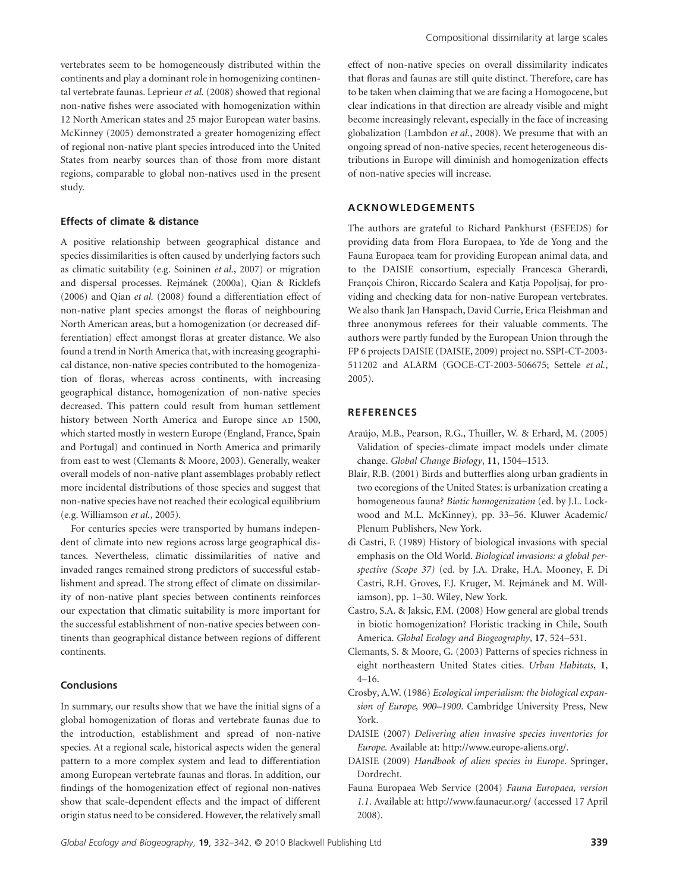vertebrates seem to be homogeneously distributed within the continents and play a dominant role in homogenizing continental vertebrate faunas. Leprieur *et al.* (2008) showed that regional non-native fishes were associated with homogenization within 12 North American states and 25 major European water basins. McKinney (2005) demonstrated a greater homogenizing effect of regional non-native plant species introduced into the United States from nearby sources than of those from more distant regions, comparable to global non-natives used in the present study.

#### **Effects of climate & distance**

A positive relationship between geographical distance and species dissimilarities is often caused by underlying factors such as climatic suitability (e.g. Soininen *et al.*, 2007) or migration and dispersal processes. Rejmánek (2000a), Qian & Ricklefs (2006) and Qian *et al.* (2008) found a differentiation effect of non-native plant species amongst the floras of neighbouring North American areas, but a homogenization (or decreased differentiation) effect amongst floras at greater distance. We also found a trend in North America that, with increasing geographical distance, non-native species contributed to the homogenization of floras, whereas across continents, with increasing geographical distance, homogenization of non-native species decreased. This pattern could result from human settlement history between North America and Europe since AD 1500, which started mostly in western Europe (England, France, Spain and Portugal) and continued in North America and primarily from east to west (Clemants & Moore, 2003). Generally, weaker overall models of non-native plant assemblages probably reflect more incidental distributions of those species and suggest that non-native species have not reached their ecological equilibrium (e.g. Williamson *et al.*, 2005).

For centuries species were transported by humans independent of climate into new regions across large geographical distances. Nevertheless, climatic dissimilarities of native and invaded ranges remained strong predictors of successful establishment and spread. The strong effect of climate on dissimilarity of non-native plant species between continents reinforces our expectation that climatic suitability is more important for the successful establishment of non-native species between continents than geographical distance between regions of different continents.

## **Conclusions**

In summary, our results show that we have the initial signs of a global homogenization of floras and vertebrate faunas due to the introduction, establishment and spread of non-native species. At a regional scale, historical aspects widen the general pattern to a more complex system and lead to differentiation among European vertebrate faunas and floras. In addition, our findings of the homogenization effect of regional non-natives show that scale-dependent effects and the impact of different origin status need to be considered. However, the relatively small effect of non-native species on overall dissimilarity indicates that floras and faunas are still quite distinct. Therefore, care has to be taken when claiming that we are facing a Homogocene, but clear indications in that direction are already visible and might become increasingly relevant, especially in the face of increasing globalization (Lambdon *et al.*, 2008). We presume that with an ongoing spread of non-native species, recent heterogeneous distributions in Europe will diminish and homogenization effects of non-native species will increase.

# **ACKNOWLEDGEMENTS**

The authors are grateful to Richard Pankhurst (ESFEDS) for providing data from Flora Europaea, to Yde de Yong and the Fauna Europaea team for providing European animal data, and to the DAISIE consortium, especially Francesca Gherardi, François Chiron, Riccardo Scalera and Katja Popoljsaj, for providing and checking data for non-native European vertebrates. We also thank Jan Hanspach, David Currie, Erica Fleishman and three anonymous referees for their valuable comments. The authors were partly funded by the European Union through the FP 6 projects DAISIE (DAISIE, 2009) project no. SSPI-CT-2003- 511202 and ALARM (GOCE-CT-2003-506675; Settele *et al.*, 2005).

## **REFERENCES**

- Araújo, M.B., Pearson, R.G., Thuiller, W. & Erhard, M. (2005) Validation of species-climate impact models under climate change. *Global Change Biology*, **11**, 1504–1513.
- Blair, R.B. (2001) Birds and butterflies along urban gradients in two ecoregions of the United States: is urbanization creating a homogeneous fauna? *Biotic homogenization* (ed. by J.L. Lockwood and M.L. McKinney), pp. 33–56. Kluwer Academic/ Plenum Publishers, New York.
- di Castri, F. (1989) History of biological invasions with special emphasis on the Old World. *Biological invasions: a global perspective (Scope 37)* (ed. by J.A. Drake, H.A. Mooney, F. Di Castri, R.H. Groves, F.J. Kruger, M. Rejmánek and M. Williamson), pp. 1–30. Wiley, New York.
- Castro, S.A. & Jaksic, F.M. (2008) How general are global trends in biotic homogenization? Floristic tracking in Chile, South America. *Global Ecology and Biogeography*, **17**, 524–531.
- Clemants, S. & Moore, G. (2003) Patterns of species richness in eight northeastern United States cities. *Urban Habitats*, **1**, 4–16.
- Crosby, A.W. (1986) *Ecological imperialism: the biological expansion of Europe, 900–1900*. Cambridge University Press, New York.
- DAISIE (2007) *Delivering alien invasive species inventories for Europe*. Available at: http://www.europe-aliens.org/.
- DAISIE (2009) *Handbook of alien species in Europe*. Springer, Dordrecht.
- Fauna Europaea Web Service (2004) *Fauna Europaea, version 1.1*. Available at: http://www.faunaeur.org/ (accessed 17 April 2008).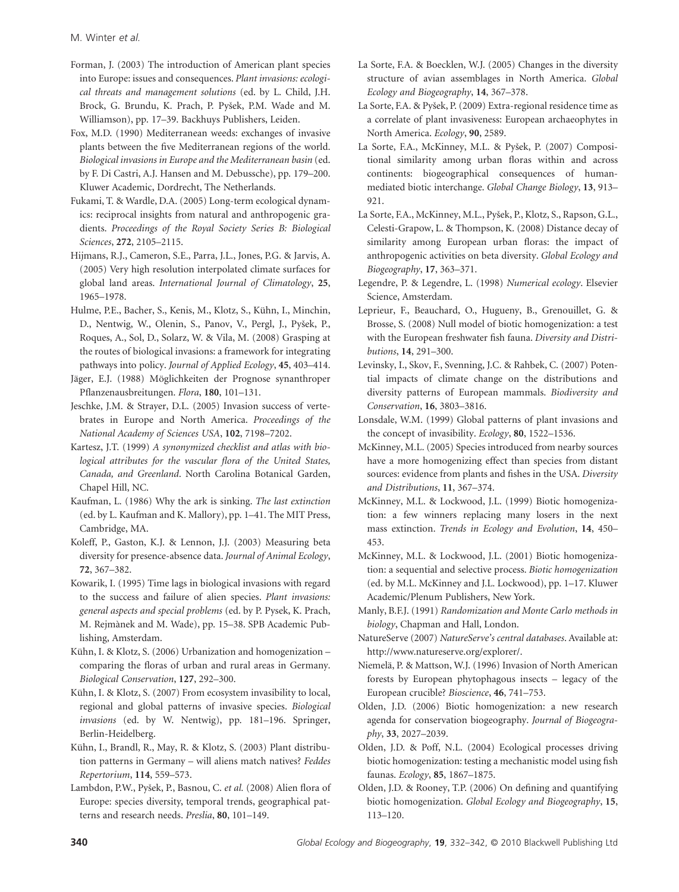M. Winter *et al.*

- Forman, J. (2003) The introduction of American plant species into Europe: issues and consequences. *Plant invasions: ecological threats and management solutions* (ed. by L. Child, J.H. Brock, G. Brundu, K. Prach, P. Pyšek, P.M. Wade and M. Williamson), pp. 17–39. Backhuys Publishers, Leiden.
- Fox, M.D. (1990) Mediterranean weeds: exchanges of invasive plants between the five Mediterranean regions of the world. *Biological invasions in Europe and the Mediterranean basin* (ed. by F. Di Castri, A.J. Hansen and M. Debussche), pp. 179–200. Kluwer Academic, Dordrecht, The Netherlands.
- Fukami, T. & Wardle, D.A. (2005) Long-term ecological dynamics: reciprocal insights from natural and anthropogenic gradients. *Proceedings of the Royal Society Series B: Biological Sciences*, **272**, 2105–2115.
- Hijmans, R.J., Cameron, S.E., Parra, J.L., Jones, P.G. & Jarvis, A. (2005) Very high resolution interpolated climate surfaces for global land areas. *International Journal of Climatology*, **25**, 1965–1978.
- Hulme, P.E., Bacher, S., Kenis, M., Klotz, S., Kühn, I., Minchin, D., Nentwig, W., Olenin, S., Panov, V., Pergl, J., Pyšek, P., Roques, A., Sol, D., Solarz, W. & Vila, M. (2008) Grasping at the routes of biological invasions: a framework for integrating pathways into policy. *Journal of Applied Ecology*, **45**, 403–414.
- Jäger, E.J. (1988) Möglichkeiten der Prognose synanthroper Pflanzenausbreitungen. *Flora*, **180**, 101–131.
- Jeschke, J.M. & Strayer, D.L. (2005) Invasion success of vertebrates in Europe and North America. *Proceedings of the National Academy of Sciences USA*, **102**, 7198–7202.
- Kartesz, J.T. (1999) *A synonymized checklist and atlas with biological attributes for the vascular flora of the United States, Canada, and Greenland*. North Carolina Botanical Garden, Chapel Hill, NC.
- Kaufman, L. (1986) Why the ark is sinking. *The last extinction* (ed. by L. Kaufman and K. Mallory), pp. 1–41. The MIT Press, Cambridge, MA.
- Koleff, P., Gaston, K.J. & Lennon, J.J. (2003) Measuring beta diversity for presence-absence data. *Journal of Animal Ecology*, **72**, 367–382.
- Kowarik, I. (1995) Time lags in biological invasions with regard to the success and failure of alien species. *Plant invasions: general aspects and special problems* (ed. by P. Pysek, K. Prach, M. Rejmànek and M. Wade), pp. 15–38. SPB Academic Publishing, Amsterdam.
- Kühn, I. & Klotz, S. (2006) Urbanization and homogenization comparing the floras of urban and rural areas in Germany. *Biological Conservation*, **127**, 292–300.
- Kühn, I. & Klotz, S. (2007) From ecosystem invasibility to local, regional and global patterns of invasive species. *Biological invasions* (ed. by W. Nentwig), pp. 181–196. Springer, Berlin-Heidelberg.
- Kühn, I., Brandl, R., May, R. & Klotz, S. (2003) Plant distribution patterns in Germany – will aliens match natives? *Feddes Repertorium*, **114**, 559–573.
- Lambdon, P.W., Pyšek, P., Basnou, C. *et al.* (2008) Alien flora of Europe: species diversity, temporal trends, geographical patterns and research needs. *Preslia*, **80**, 101–149.
- La Sorte, F.A. & Boecklen, W.J. (2005) Changes in the diversity structure of avian assemblages in North America. *Global Ecology and Biogeography*, **14**, 367–378.
- La Sorte, F.A. & Pyšek, P. (2009) Extra-regional residence time as a correlate of plant invasiveness: European archaeophytes in North America. *Ecology*, **90**, 2589.
- La Sorte, F.A., McKinney, M.L. & Pyšek, P. (2007) Compositional similarity among urban floras within and across continents: biogeographical consequences of humanmediated biotic interchange. *Global Change Biology*, **13**, 913– 921.
- La Sorte, F.A., McKinney, M.L., Pyšek, P., Klotz, S., Rapson, G.L., Celesti-Grapow, L. & Thompson, K. (2008) Distance decay of similarity among European urban floras: the impact of anthropogenic activities on beta diversity. *Global Ecology and Biogeography*, **17**, 363–371.
- Legendre, P. & Legendre, L. (1998) *Numerical ecology*. Elsevier Science, Amsterdam.
- Leprieur, F., Beauchard, O., Hugueny, B., Grenouillet, G. & Brosse, S. (2008) Null model of biotic homogenization: a test with the European freshwater fish fauna. *Diversity and Distributions*, **14**, 291–300.
- Levinsky, I., Skov, F., Svenning, J.C. & Rahbek, C. (2007) Potential impacts of climate change on the distributions and diversity patterns of European mammals. *Biodiversity and Conservation*, **16**, 3803–3816.
- Lonsdale, W.M. (1999) Global patterns of plant invasions and the concept of invasibility. *Ecology*, **80**, 1522–1536.
- McKinney, M.L. (2005) Species introduced from nearby sources have a more homogenizing effect than species from distant sources: evidence from plants and fishes in the USA. *Diversity and Distributions*, **11**, 367–374.
- McKinney, M.L. & Lockwood, J.L. (1999) Biotic homogenization: a few winners replacing many losers in the next mass extinction. *Trends in Ecology and Evolution*, **14**, 450– 453.
- McKinney, M.L. & Lockwood, J.L. (2001) Biotic homogenization: a sequential and selective process. *Biotic homogenization* (ed. by M.L. McKinney and J.L. Lockwood), pp. 1–17. Kluwer Academic/Plenum Publishers, New York.
- Manly, B.F.J. (1991) *Randomization and Monte Carlo methods in biology*, Chapman and Hall, London.
- NatureServe (2007) *NatureServe's central databases*. Available at: http://www.natureserve.org/explorer/.
- Niemelä, P. & Mattson, W.J. (1996) Invasion of North American forests by European phytophagous insects – legacy of the European crucible? *Bioscience*, **46**, 741–753.
- Olden, J.D. (2006) Biotic homogenization: a new research agenda for conservation biogeography. *Journal of Biogeography*, **33**, 2027–2039.
- Olden, J.D. & Poff, N.L. (2004) Ecological processes driving biotic homogenization: testing a mechanistic model using fish faunas. *Ecology*, **85**, 1867–1875.
- Olden, J.D. & Rooney, T.P. (2006) On defining and quantifying biotic homogenization. *Global Ecology and Biogeography*, **15**, 113–120.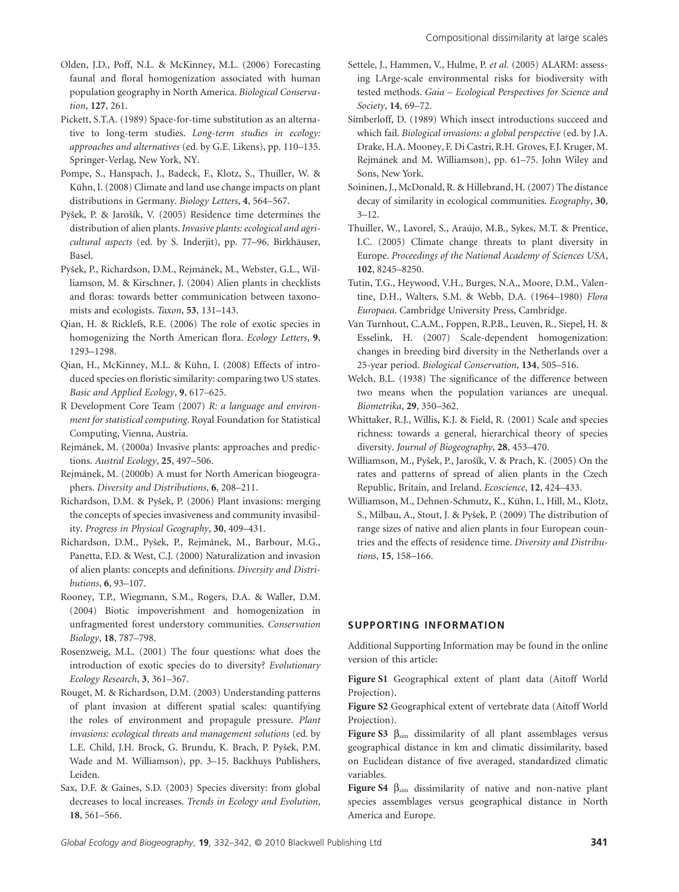- Olden, J.D., Poff, N.L. & McKinney, M.L. (2006) Forecasting faunal and floral homogenization associated with human population geography in North America. *Biological Conservation*, **127**, 261.
- Pickett, S.T.A. (1989) Space-for-time substitution as an alternative to long-term studies. *Long-term studies in ecology: approaches and alternatives* (ed. by G.E. Likens), pp. 110–135. Springer-Verlag, New York, NY.
- Pompe, S., Hanspach, J., Badeck, F., Klotz, S., Thuiller, W. & Kühn, I. (2008) Climate and land use change impacts on plant distributions in Germany. *Biology Letters*, **4**, 564–567.
- Pyšek, P. & Jarošík, V. (2005) Residence time determines the distribution of alien plants.*Invasive plants: ecological and agricultural aspects* (ed. by S. Inderjit), pp. 77–96. Birkhäuser, Basel.
- Pyšek, P., Richardson, D.M., Rejmánek, M., Webster, G.L., Williamson, M. & Kirschner, J. (2004) Alien plants in checklists and floras: towards better communication between taxonomists and ecologists. *Taxon*, **53**, 131–143.
- Qian, H. & Ricklefs, R.E. (2006) The role of exotic species in homogenizing the North American flora. *Ecology Letters*, **9**, 1293–1298.
- Qian, H., McKinney, M.L. & Kühn, I. (2008) Effects of introduced species on floristic similarity: comparing two US states. *Basic and Applied Ecology*, **9**, 617–625.
- R Development Core Team (2007) *R: a language and environment for statistical computing*. Royal Foundation for Statistical Computing, Vienna, Austria.
- Rejmánek, M. (2000a) Invasive plants: approaches and predictions. *Austral Ecology*, **25**, 497–506.
- Rejmánek, M. (2000b) A must for North American biogeographers. *Diversity and Distributions*, **6**, 208–211.
- Richardson, D.M. & Pyšek, P. (2006) Plant invasions: merging the concepts of species invasiveness and community invasibility. *Progress in Physical Geography*, **30**, 409–431.
- Richardson, D.M., Pyšek, P., Rejmánek, M., Barbour, M.G., Panetta, F.D. & West, C.J. (2000) Naturalization and invasion of alien plants: concepts and definitions. *Diversity and Distributions*, **6**, 93–107.
- Rooney, T.P., Wiegmann, S.M., Rogers, D.A. & Waller, D.M. (2004) Biotic impoverishment and homogenization in unfragmented forest understory communities. *Conservation Biology*, **18**, 787–798.
- Rosenzweig, M.L. (2001) The four questions: what does the introduction of exotic species do to diversity? *Evolutionary Ecology Research*, **3**, 361–367.
- Rouget, M. & Richardson, D.M. (2003) Understanding patterns of plant invasion at different spatial scales: quantifying the roles of environment and propagule pressure. *Plant invasions: ecological threats and management solutions* (ed. by L.E. Child, J.H. Brock, G. Brundu, K. Brach, P. Pyšek, P.M. Wade and M. Williamson), pp. 3–15. Backhuys Publishers, Leiden.
- Sax, D.F. & Gaines, S.D. (2003) Species diversity: from global decreases to local increases. *Trends in Ecology and Evolution*, **18**, 561–566.
- Settele, J., Hammen, V., Hulme, P. *et al.* (2005) ALARM: assessing LArge-scale environmental risks for biodiversity with tested methods. *Gaia – Ecological Perspectives for Science and Society*, **14**, 69–72.
- Simberloff, D. (1989) Which insect introductions succeed and which fail. *Biological invasions: a global perspective* (ed. by J.A. Drake, H.A. Mooney, F. Di Castri, R.H. Groves, F.J. Kruger, M. Rejmánek and M. Williamson), pp. 61–75. John Wiley and Sons, New York.
- Soininen, J., McDonald, R. & Hillebrand, H. (2007) The distance decay of similarity in ecological communities. *Ecography*, **30**,  $3 - 12$ .
- Thuiller, W., Lavorel, S., Araújo, M.B., Sykes, M.T. & Prentice, I.C. (2005) Climate change threats to plant diversity in Europe. *Proceedings of the National Academy of Sciences USA*, **102**, 8245–8250.
- Tutin, T.G., Heywood, V.H., Burges, N.A., Moore, D.M., Valentine, D.H., Walters, S.M. & Webb, D.A. (1964–1980) *Flora Europaea*. Cambridge University Press, Cambridge.
- Van Turnhout, C.A.M., Foppen, R.P.B., Leuven, R., Siepel, H. & Esselink, H. (2007) Scale-dependent homogenization: changes in breeding bird diversity in the Netherlands over a 25-year period. *Biological Conservation*, **134**, 505–516.
- Welch, B.L. (1938) The significance of the difference between two means when the population variances are unequal. *Biometrika*, **29**, 350–362.
- Whittaker, R.J., Willis, K.J. & Field, R. (2001) Scale and species richness: towards a general, hierarchical theory of species diversity. *Journal of Biogeography*, **28**, 453–470.
- Williamson, M., Pyšek, P., Jarošík, V. & Prach, K. (2005) On the rates and patterns of spread of alien plants in the Czech Republic, Britain, and Ireland. *Ecoscience*, **12**, 424–433.
- Williamson, M., Dehnen-Schmutz, K., Kühn, I., Hill, M., Klotz, S., Milbau, A., Stout, J. & Pyšek, P. (2009) The distribution of range sizes of native and alien plants in four European countries and the effects of residence time. *Diversity and Distributions*, **15**, 158–166.

# **SUPPORTING INFORMATION**

Additional Supporting Information may be found in the online version of this article:

**Figure S1** Geographical extent of plant data (Aitoff World Projection).

**Figure S2** Geographical extent of vertebrate data (Aitoff World Projection).

**Figure S3**  $\beta_{sim}$  dissimilarity of all plant assemblages versus geographical distance in km and climatic dissimilarity, based on Euclidean distance of five averaged, standardized climatic variables.

Figure S4  $\beta_{sim}$  dissimilarity of native and non-native plant species assemblages versus geographical distance in North America and Europe.